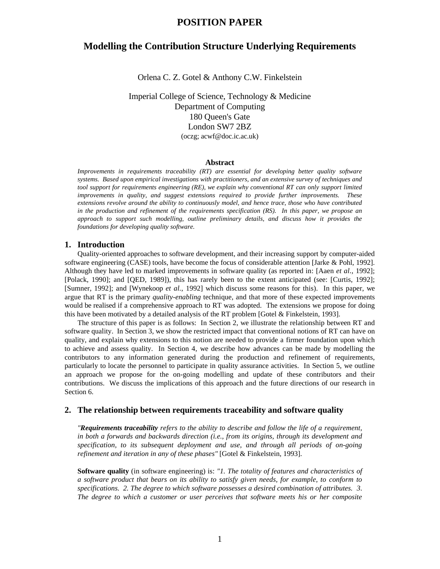# **Modelling the Contribution Structure Underlying Requirements**

Orlena C. Z. Gotel & Anthony C.W. Finkelstein

Imperial College of Science, Technology & Medicine Department of Computing 180 Queen's Gate London SW7 2BZ (oczg; acwf@doc.ic.ac.uk)

## **Abstract**

*Improvements in requirements traceability (RT) are essential for developing better quality software systems. Based upon empirical investigations with practitioners, and an extensive survey of techniques and tool support for requirements engineering (RE), we explain why conventional RT can only support limited improvements in quality, and suggest extensions required to provide further improvements. These extensions revolve around the ability to continuously model, and hence trace, those who have contributed in the production and refinement of the requirements specification (RS). In this paper, we propose an approach to support such modelling, outline preliminary details, and discuss how it provides the foundations for developing quality software.*

# **1. Introduction**

Quality-oriented approaches to software development, and their increasing support by computer-aided software engineering (CASE) tools, have become the focus of considerable attention [Jarke & Pohl, 1992]. Although they have led to marked improvements in software quality (as reported in: [Aaen *et al.*, 1992]; [Polack, 1990]; and [QED, 1989]), this has rarely been to the extent anticipated (see: [Curtis, 1992]; [Sumner, 1992]; and [Wynekoop *et al.*, 1992] which discuss some reasons for this). In this paper, we argue that RT is the primary *quality-enabling* technique, and that more of these expected improvements would be realised if a comprehensive approach to RT was adopted. The extensions we propose for doing this have been motivated by a detailed analysis of the RT problem [Gotel & Finkelstein, 1993].

The structure of this paper is as follows: In Section 2, we illustrate the relationship between RT and software quality. In Section 3, we show the restricted impact that conventional notions of RT can have on quality, and explain why extensions to this notion are needed to provide a firmer foundation upon which to achieve and assess quality. In Section 4, we describe how advances can be made by modelling the contributors to any information generated during the production and refinement of requirements, particularly to locate the personnel to participate in quality assurance activities. In Section 5, we outline an approach we propose for the on-going modelling and update of these contributors and their contributions. We discuss the implications of this approach and the future directions of our research in Section 6.

# **2. The relationship between requirements traceability and software quality**

*"Requirements traceability refers to the ability to describe and follow the life of a requirement, in both a forwards and backwards direction (i.e., from its origins, through its development and specification, to its subsequent deployment and use, and through all periods of on-going refinement and iteration in any of these phases"* [Gotel & Finkelstein, 1993].

**Software quality** (in software engineering) is: *"1. The totality of features and characteristics of a software product that bears on its ability to satisfy given needs, for example, to conform to specifications. 2. The degree to which software possesses a desired combination of attributes. 3. The degree to which a customer or user perceives that software meets his or her composite*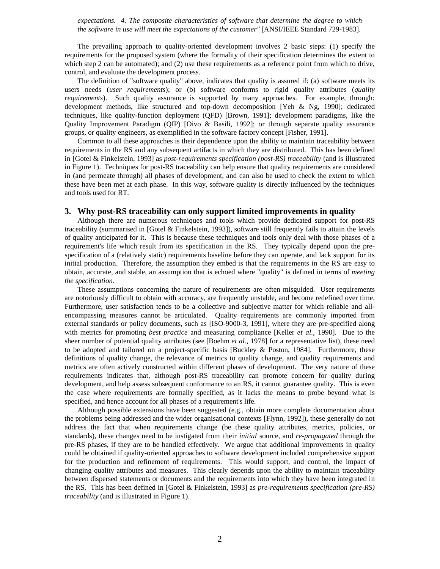*expectations. 4. The composite characteristics of software that determine the degree to which the software in use will meet the expectations of the customer"* [ANSI/IEEE Standard 729-1983].

The prevailing approach to quality-oriented development involves 2 basic steps: (1) specify the requirements for the proposed system (where the formality of their specification determines the extent to which step 2 can be automated); and (2) use these requirements as a reference point from which to drive, control, and evaluate the development process.

The definition of "software quality" above, indicates that quality is assured if: (a) software meets its users needs (*user requirements*); or (b) software conforms to rigid quality attributes (*quality requirements*). Such quality assurance is supported by many approaches. For example, through: development methods, like structured and top-down decomposition [Yeh & Ng, 1990]; dedicated techniques, like quality-function deployment (QFD) [Brown, 1991]; development paradigms, like the Quality Improvement Paradigm (QIP) [Oivo & Basili, 1992]; or through separate quality assurance groups, or quality engineers, as exemplified in the software factory concept [Fisher, 1991].

Common to all these approaches is their dependence upon the ability to maintain traceability between requirements in the RS and any subsequent artifacts in which they are distributed. This has been defined in [Gotel & Finkelstein, 1993] as *post-requirements specification (post-RS) traceability* (and is illustrated in Figure 1). Techniques for post-RS traceability can help ensure that quality requirements are considered in (and permeate through) all phases of development, and can also be used to check the extent to which these have been met at each phase. In this way, software quality is directly influenced by the techniques and tools used for RT.

# **3. Why post-RS traceability can only support limited improvements in quality**

Although there are numerous techniques and tools which provide dedicated support for post-RS traceability (summarised in [Gotel & Finkelstein, 1993]), software still frequently fails to attain the levels of quality anticipated for it. This is because these techniques and tools only deal with those phases of a requirement's life which result from its specification in the RS. They typically depend upon the prespecification of a (relatively static) requirements baseline before they can operate, and lack support for its initial production. Therefore, the assumption they embed is that the requirements in the RS are easy to obtain, accurate, and stable, an assumption that is echoed where "quality" is defined in terms of *meeting the specification*.

These assumptions concerning the nature of requirements are often misguided. User requirements are notoriously difficult to obtain with accuracy, are frequently unstable, and become redefined over time. Furthermore, user satisfaction tends to be a collective and subjective matter for which reliable and allencompassing measures cannot be articulated. Quality requirements are commonly imported from external standards or policy documents, such as [ISO-9000-3, 1991], where they are pre-specified along with metrics for promoting *best practice* and measuring compliance [Keller *et al.*, 1990]. Due to the sheer number of potential quality attributes (see [Boehm *et al.*, 1978] for a representative list), these need to be adopted and tailored on a project-specific basis [Buckley & Poston, 1984]. Furthermore, these definitions of quality change, the relevance of metrics to quality change, and quality requirements and metrics are often actively constructed within different phases of development. The very nature of these requirements indicates that, although post-RS traceability can promote concern for quality during development, and help assess subsequent conformance to an RS, it cannot guarantee quality. This is even the case where requirements are formally specified, as it lacks the means to probe beyond what is specified, and hence account for all phases of a requirement's life.

Although possible extensions have been suggested (e.g., obtain more complete documentation about the problems being addressed and the wider organisational contexts [Flynn, 1992]), these generally do not address the fact that when requirements change (be these quality attributes, metrics, policies, or standards), these changes need to be instigated from their *initial* source, and *re-propagated* through the pre-RS phases, if they are to be handled effectively. We argue that additional improvements in quality could be obtained if quality-oriented approaches to software development included comprehensive support for the production and refinement of requirements. This would support, and control, the impact of changing quality attributes and measures. This clearly depends upon the ability to maintain traceability between dispersed statements or documents and the requirements into which they have been integrated in the RS. This has been defined in [Gotel & Finkelstein, 1993] as *pre-requirements specification (pre-RS) traceability* (and is illustrated in Figure 1).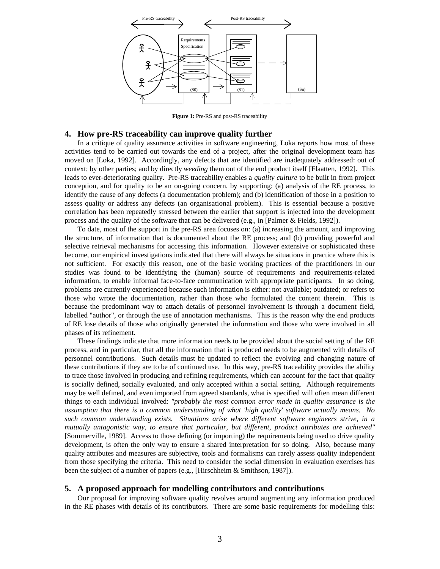

**Figure 1:** Pre-RS and post-RS traceability

# **4. How pre-RS traceability can improve quality further**

In a critique of quality assurance activities in software engineering, Loka reports how most of these activities tend to be carried out towards the end of a project, after the original development team has moved on [Loka, 1992]. Accordingly, any defects that are identified are inadequately addressed: out of context; by other parties; and by directly *weeding* them out of the end product itself [Flaatten, 1992]. This leads to ever-deteriorating quality. Pre-RS traceability enables a *quality culture* to be built in from project conception, and for quality to be an on-going concern, by supporting: (a) analysis of the RE process, to identify the cause of any defects (a documentation problem); and (b) identification of those in a position to assess quality or address any defects (an organisational problem). This is essential because a positive correlation has been repeatedly stressed between the earlier that support is injected into the development process and the quality of the software that can be delivered (e.g., in [Palmer & Fields, 1992]).

To date, most of the support in the pre-RS area focuses on: (a) increasing the amount, and improving the structure, of information that is documented about the RE process; and (b) providing powerful and selective retrieval mechanisms for accessing this information. However extensive or sophisticated these become, our empirical investigations indicated that there will always be situations in practice where this is not sufficient. For exactly this reason, one of the basic working practices of the practitioners in our studies was found to be identifying the (human) source of requirements and requirements-related information, to enable informal face-to-face communication with appropriate participants. In so doing, problems are currently experienced because such information is either: not available; outdated; or refers to those who wrote the documentation, rather than those who formulated the content therein. This is because the predominant way to attach details of personnel involvement is through a document field, labelled "author", or through the use of annotation mechanisms. This is the reason why the end products of RE lose details of those who originally generated the information and those who were involved in all phases of its refinement.

These findings indicate that more information needs to be provided about the social setting of the RE process, and in particular, that all the information that is produced needs to be augmented with details of personnel contributions. Such details must be updated to reflect the evolving and changing nature of these contributions if they are to be of continued use. In this way, pre-RS traceability provides the ability to trace those involved in producing and refining requirements, which can account for the fact that quality is socially defined, socially evaluated, and only accepted within a social setting. Although requirements may be well defined, and even imported from agreed standards, what is specified will often mean different things to each individual involved: *"probably the most common error made in quality assurance is the assumption that there is a common understanding of what 'high quality' software actually means. No such common understanding exists. Situations arise where different software engineers strive, in a mutually antagonistic way, to ensure that particular, but different, product attributes are achieved"* [Sommerville, 1989]. Access to those defining (or importing) the requirements being used to drive quality development, is often the only way to ensure a shared interpretation for so doing. Also, because many quality attributes and measures are subjective, tools and formalisms can rarely assess quality independent from those specifying the criteria. This need to consider the social dimension in evaluation exercises has been the subject of a number of papers (e.g., [Hirschheim & Smithson, 1987]).

# **5. A proposed approach for modelling contributors and contributions**

Our proposal for improving software quality revolves around augmenting any information produced in the RE phases with details of its contributors. There are some basic requirements for modelling this: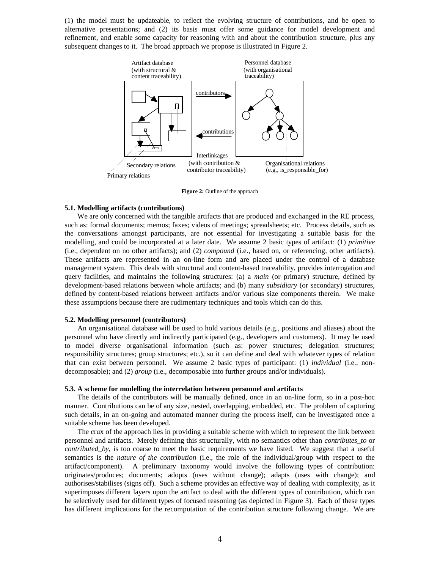(1) the model must be updateable, to reflect the evolving structure of contributions, and be open to alternative presentations; and (2) its basis must offer some guidance for model development and refinement, and enable some capacity for reasoning with and about the contribution structure, plus any subsequent changes to it. The broad approach we propose is illustrated in Figure 2.



**Figure 2:** Outline of the approach

## **5.1. Modelling artifacts (contributions)**

We are only concerned with the tangible artifacts that are produced and exchanged in the RE process, such as: formal documents; memos; faxes; videos of meetings; spreadsheets; etc. Process details, such as the conversations amongst participants, are not essential for investigating a suitable basis for the modelling, and could be incorporated at a later date. We assume 2 basic types of artifact: (1) *primitive* (i.e., dependent on no other artifacts); and (2) *compound* (i.e., based on, or referencing, other artifacts). These artifacts are represented in an on-line form and are placed under the control of a database management system. This deals with structural and content-based traceability, provides interrogation and query facilities, and maintains the following structures: (a) a *main* (or primary) structure, defined by development-based relations between whole artifacts; and (b) many *subsidiary* (or secondary) structures, defined by content-based relations between artifacts and/or various size components therein. We make these assumptions because there are rudimentary techniques and tools which can do this.

## **5.2. Modelling personnel (contributors)**

An organisational database will be used to hold various details (e.g., positions and aliases) about the personnel who have directly and indirectly participated (e.g., developers and customers). It may be used to model diverse organisational information (such as: power structures; delegation structures; responsibility structures; group structures; etc.), so it can define and deal with whatever types of relation that can exist between personnel. We assume 2 basic types of participant: (1) *individual* (i.e., nondecomposable); and (2) *group* (i.e., decomposable into further groups and/or individuals).

## **5.3. A scheme for modelling the interrelation between personnel and artifacts**

The details of the contributors will be manually defined, once in an on-line form, so in a post-hoc manner. Contributions can be of any size, nested, overlapping, embedded, etc. The problem of capturing such details, in an on-going and automated manner during the process itself, can be investigated once a suitable scheme has been developed.

The crux of the approach lies in providing a suitable scheme with which to represent the link between personnel and artifacts. Merely defining this structurally, with no semantics other than *contributes\_to* or *contributed\_by*, is too coarse to meet the basic requirements we have listed. We suggest that a useful semantics is the *nature of the contribution* (i.e., the role of the individual/group with respect to the artifact/component). A preliminary taxonomy would involve the following types of contribution: originates/produces; documents; adopts (uses without change); adapts (uses with change); and authorises/stabilises (signs off). Such a scheme provides an effective way of dealing with complexity, as it superimposes different layers upon the artifact to deal with the different types of contribution, which can be selectively used for different types of focused reasoning (as depicted in Figure 3). Each of these types has different implications for the recomputation of the contribution structure following change. We are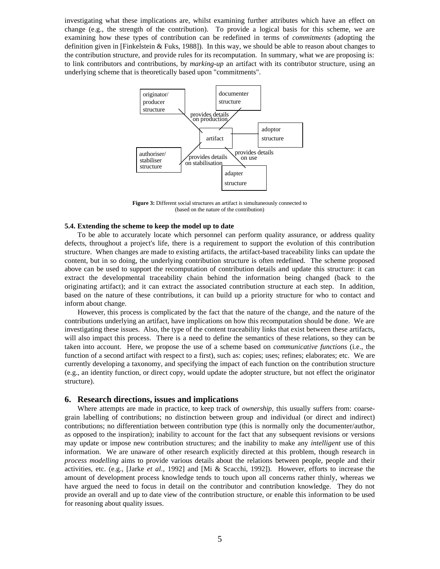investigating what these implications are, whilst examining further attributes which have an effect on change (e.g., the strength of the contribution). To provide a logical basis for this scheme, we are examining how these types of contribution can be redefined in terms of *commitments* (adopting the definition given in [Finkelstein & Fuks, 1988]). In this way, we should be able to reason about changes to the contribution structure, and provide rules for its recomputation. In summary, what we are proposing is: to link contributors and contributions, by *marking-up* an artifact with its contributor structure, using an underlying scheme that is theoretically based upon "commitments".



**Figure 3:** Different social structures an artifact is simultaneously connected to (based on the nature of the contribution)

## **5.4. Extending the scheme to keep the model up to date**

To be able to accurately locate which personnel can perform quality assurance, or address quality defects, throughout a project's life, there is a requirement to support the evolution of this contribution structure. When changes are made to existing artifacts, the artifact-based traceability links can update the content, but in so doing, the underlying contribution structure is often redefined. The scheme proposed above can be used to support the recomputation of contribution details and update this structure: it can extract the developmental traceability chain behind the information being changed (back to the originating artifact); and it can extract the associated contribution structure at each step. In addition, based on the nature of these contributions, it can build up a priority structure for who to contact and inform about change.

However, this process is complicated by the fact that the nature of the change, and the nature of the contributions underlying an artifact, have implications on how this recomputation should be done. We are investigating these issues. Also, the type of the content traceability links that exist between these artifacts, will also impact this process. There is a need to define the semantics of these relations, so they can be taken into account. Here, we propose the use of a scheme based on *communicative functions* (i.e., the function of a second artifact with respect to a first), such as: copies; uses; refines; elaborates; etc. We are currently developing a taxonomy, and specifying the impact of each function on the contribution structure (e.g., an identity function, or direct copy, would update the adopter structure, but not effect the originator structure).

## **6. Research directions, issues and implications**

Where attempts are made in practice, to keep track of *ownership*, this usually suffers from: coarsegrain labelling of contributions; no distinction between group and individual (or direct and indirect) contributions; no differentiation between contribution type (this is normally only the documenter/author, as opposed to the inspiration); inability to account for the fact that any subsequent revisions or versions may update or impose new contribution structures; and the inability to make any *intelligent* use of this information. We are unaware of other research explicitly directed at this problem, though research in *process modelling* aims to provide various details about the relations between people, people and their activities, etc. (e.g., [Jarke *et al.*, 1992] and [Mi & Scacchi, 1992]). However, efforts to increase the amount of development process knowledge tends to touch upon all concerns rather thinly, whereas we have argued the need to focus in detail on the contributor and contribution knowledge. They do not provide an overall and up to date view of the contribution structure, or enable this information to be used for reasoning about quality issues.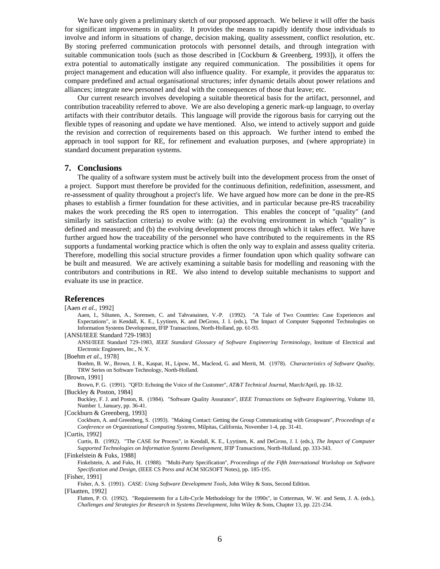We have only given a preliminary sketch of our proposed approach. We believe it will offer the basis for significant improvements in quality. It provides the means to rapidly identify those individuals to involve and inform in situations of change, decision making, quality assessment, conflict resolution, etc. By storing preferred communication protocols with personnel details, and through integration with suitable communication tools (such as those described in [Cockburn & Greenberg, 1993]), it offers the extra potential to automatically instigate any required communication. The possibilities it opens for project management and education will also influence quality. For example, it provides the apparatus to: compare predefined and actual organisational structures; infer dynamic details about power relations and alliances; integrate new personnel and deal with the consequences of those that leave; etc.

Our current research involves developing a suitable theoretical basis for the artifact, personnel, and contribution traceability referred to above. We are also developing a generic mark-up language, to overlay artifacts with their contributor details. This language will provide the rigorous basis for carrying out the flexible types of reasoning and update we have mentioned. Also, we intend to actively support and guide the revision and correction of requirements based on this approach. We further intend to embed the approach in tool support for RE, for refinement and evaluation purposes, and (where appropriate) in standard document preparation systems.

## **7. Conclusions**

The quality of a software system must be actively built into the development process from the onset of a project. Support must therefore be provided for the continuous definition, redefinition, assessment, and re-assessment of quality throughout a project's life. We have argued how more can be done in the pre-RS phases to establish a firmer foundation for these activities, and in particular because pre-RS traceability makes the work preceding the RS open to interrogation. This enables the concept of "quality" (and similarly its satisfaction criteria) to evolve with: (a) the evolving environment in which "quality" is defined and measured; and (b) the evolving development process through which it takes effect. We have further argued how the traceability of the personnel who have contributed to the requirements in the RS supports a fundamental working practice which is often the only way to explain and assess quality criteria. Therefore, modelling this social structure provides a firmer foundation upon which quality software can be built and measured. We are actively examining a suitable basis for modelling and reasoning with the contributors and contributions in RE. We also intend to develop suitable mechanisms to support and evaluate its use in practice.

### **References**

[Aaen *et al.*, 1992]

Aaen, I., Siltanen, A., Sorensen, C. and Tahvanainen, V.-P. (1992). "A Tale of Two Countries: Case Experiences and Expectations", in Kendall, K. E., Lyytinen, K. and DeGross, J. I. (eds.), The Impact of Computer Supported Technologies on Information Systems Development, IFIP Transactions, North-Holland, pp. 61-93.

[ANSI/IEEE Standard 729-1983]

ANSI/IEEE Standard 729-1983, *IEEE Standard Glossary of Software Engineering Terminology*, Institute of Electrical and Electronic Engineers, Inc., N. Y.

[Boehm *et al.*, 1978]

Boehm, B. W., Brown, J. R., Kaspar, H., Lipow, M., Macleod, G. and Merrit, M. (1978). *Characteristics of Software Quality*, TRW Series on Software Technology, North-Holland.

[Brown, 1991]

Brown, P. G. (1991). "QFD: Echoing the Voice of the Customer", *AT&T Technical Journal*, March/April, pp. 18-32.

[Buckley & Poston, 1984]

Buckley, F. J. and Poston, R. (1984). "Software Quality Assurance", *IEEE Transactions on Software Engineering*, Volume 10, Number 1, January, pp. 36-41.

[Cockburn & Greenberg, 1993]

Cockburn, A. and Greenberg, S. (1993). "Making Contact: Getting the Group Communicating with Groupware", *Proceedings of a Conference on Organizational Computing Systems*, Milpitas, California, November 1-4, pp. 31-41.

[Curtis, 1992]

Curtis, B. (1992). "The CASE for Process", in Kendall, K. E., Lyytinen, K. and DeGross, J. I. (eds.), *The Impact of Computer Supported Technologies on Information Systems Development*, IFIP Transactions, North-Holland, pp. 333-343.

[Finkelstein & Fuks, 1988]

Finkelstein, A. and Fuks, H. (1988). "Multi-Party Specification", *Proceedings of the Fifth International Workshop on Software Specification and Design*, (IEEE CS Pr*ess and* ACM SIGSOFT Notes), pp. 185-195.

[Fisher, 1991]

Fisher, A. S. (1991). *CASE: Using Software Development Tools*, John Wiley & Sons, Second Edition.

[Flaatten, 1992]

Flatten, P. O. (1992). "Requirements for a Life-Cycle Methodology for the 1990s", in Cotterman, W. W. and Senn, J. A. (eds.), *Challenges and Strategies for Research in Systems Development*, John Wiley & Sons, Chapter 13, pp. 221-234.